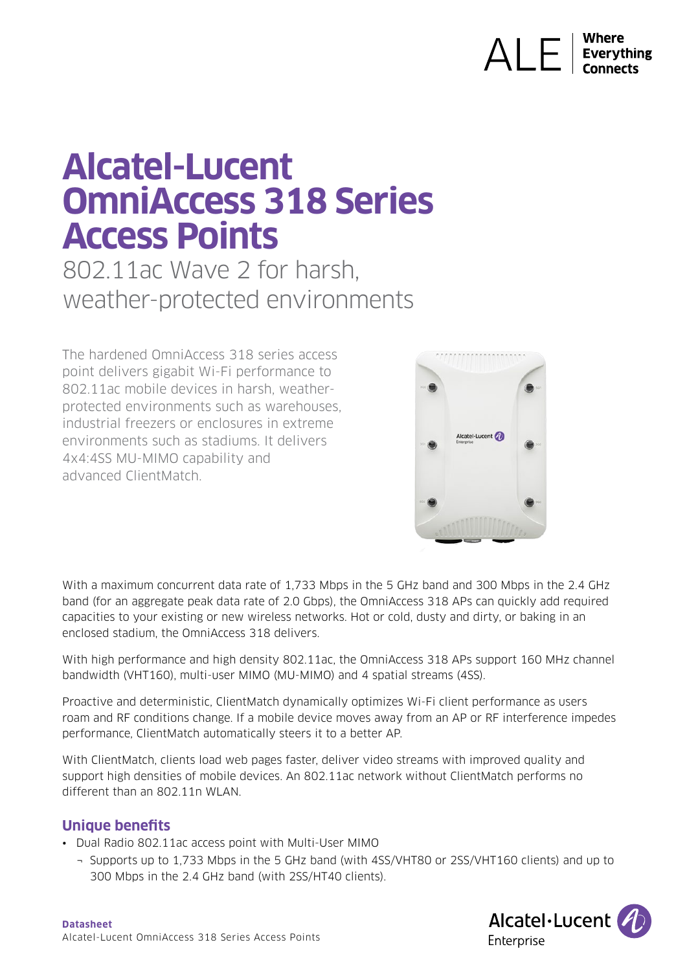# $\bigwedge\bigcup_{\text{Everything}}$

# **Alcatel-Lucent OmniAccess 318 Series Access Points**

802.11ac Wave 2 for harsh, weather-protected environments

The hardened OmniAccess 318 series access point delivers gigabit Wi-Fi performance to 802.11ac mobile devices in harsh, weatherprotected environments such as warehouses, industrial freezers or enclosures in extreme environments such as stadiums. It delivers 4x4:4SS MU-MIMO capability and advanced ClientMatch.



With a maximum concurrent data rate of 1,733 Mbps in the 5 GHz band and 300 Mbps in the 2.4 GHz band (for an aggregate peak data rate of 2.0 Gbps), the OmniAccess 318 APs can quickly add required capacities to your existing or new wireless networks. Hot or cold, dusty and dirty, or baking in an enclosed stadium, the OmniAccess 318 delivers.

With high performance and high density 802.11ac, the OmniAccess 318 APs support 160 MHz channel bandwidth (VHT160), multi-user MIMO (MU-MIMO) and 4 spatial streams (4SS).

Proactive and deterministic, ClientMatch dynamically optimizes Wi-Fi client performance as users roam and RF conditions change. If a mobile device moves away from an AP or RF interference impedes performance, ClientMatch automatically steers it to a better AP.

With ClientMatch, clients load web pages faster, deliver video streams with improved quality and support high densities of mobile devices. An 802.11ac network without ClientMatch performs no different than an 802.11n WLAN.

### **Unique benefits**

- Dual Radio 802.11ac access point with Multi-User MIMO
	- ¬ Supports up to 1,733 Mbps in the 5 GHz band (with 4SS/VHT80 or 2SS/VHT160 clients) and up to 300 Mbps in the 2.4 GHz band (with 2SS/HT40 clients).

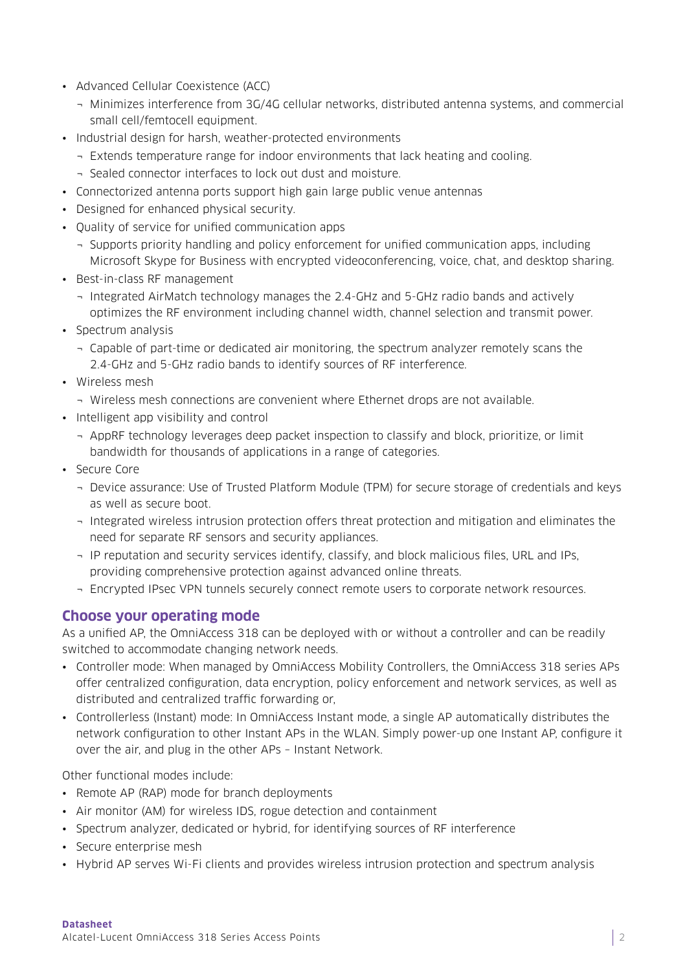- Advanced Cellular Coexistence (ACC)
	- ¬ Minimizes interference from 3G/4G cellular networks, distributed antenna systems, and commercial small cell/femtocell equipment.
- Industrial design for harsh, weather-protected environments
	- ¬ Extends temperature range for indoor environments that lack heating and cooling.
	- ¬ Sealed connector interfaces to lock out dust and moisture.
- Connectorized antenna ports support high gain large public venue antennas
- Designed for enhanced physical security.
- Quality of service for unified communication apps
	- ¬ Supports priority handling and policy enforcement for unified communication apps, including Microsoft Skype for Business with encrypted videoconferencing, voice, chat, and desktop sharing.
- Best-in-class RF management
	- ¬ Integrated AirMatch technology manages the 2.4-GHz and 5-GHz radio bands and actively optimizes the RF environment including channel width, channel selection and transmit power.
- Spectrum analysis
	- ¬ Capable of part-time or dedicated air monitoring, the spectrum analyzer remotely scans the 2.4-GHz and 5-GHz radio bands to identify sources of RF interference.
- Wireless mesh
	- ¬ Wireless mesh connections are convenient where Ethernet drops are not available.
- Intelligent app visibility and control
	- ¬ AppRF technology leverages deep packet inspection to classify and block, prioritize, or limit bandwidth for thousands of applications in a range of categories.
- Secure Core
	- ¬ Device assurance: Use of Trusted Platform Module (TPM) for secure storage of credentials and keys as well as secure boot.
	- ¬ Integrated wireless intrusion protection offers threat protection and mitigation and eliminates the need for separate RF sensors and security appliances.
	- ¬ IP reputation and security services identify, classify, and block malicious files, URL and IPs, providing comprehensive protection against advanced online threats.
	- ¬ Encrypted IPsec VPN tunnels securely connect remote users to corporate network resources.

#### **Choose your operating mode**

As a unified AP, the OmniAccess 318 can be deployed with or without a controller and can be readily switched to accommodate changing network needs.

- Controller mode: When managed by OmniAccess Mobility Controllers, the OmniAccess 318 series APs offer centralized configuration, data encryption, policy enforcement and network services, as well as distributed and centralized traffic forwarding or,
- Controllerless (Instant) mode: In OmniAccess Instant mode, a single AP automatically distributes the network configuration to other Instant APs in the WLAN. Simply power-up one Instant AP, configure it over the air, and plug in the other APs – Instant Network.

Other functional modes include:

- Remote AP (RAP) mode for branch deployments
- Air monitor (AM) for wireless IDS, rogue detection and containment
- Spectrum analyzer, dedicated or hybrid, for identifying sources of RF interference
- Secure enterprise mesh
- Hybrid AP serves Wi-Fi clients and provides wireless intrusion protection and spectrum analysis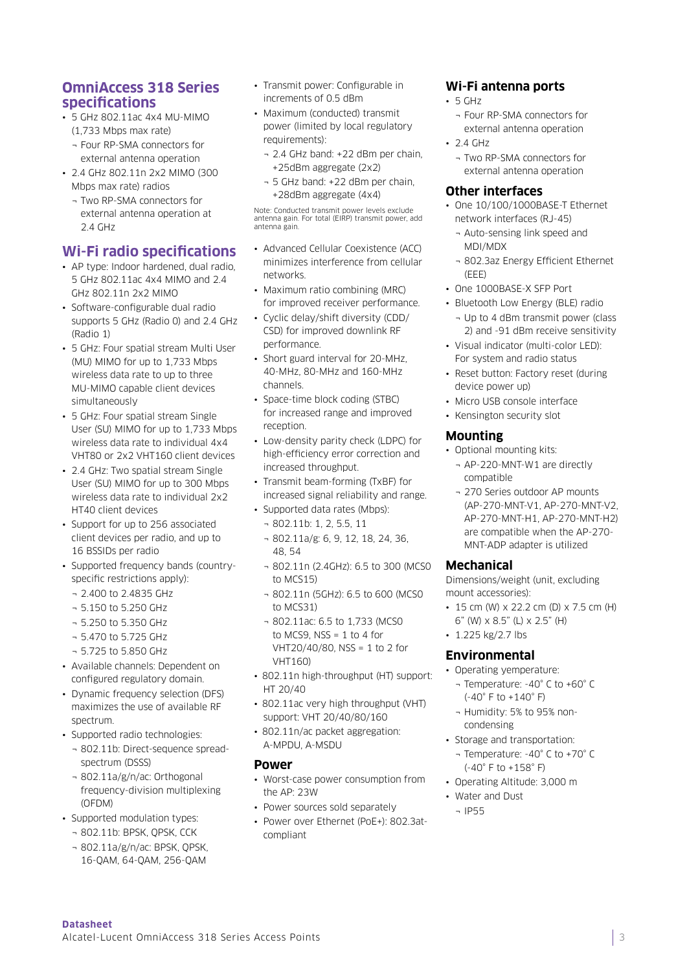#### **OmniAccess 318 Series specifications**

- 5 GHz 802.11ac 4x4 MU-MIMO (1,733 Mbps max rate)
- ¬ Four RP-SMA connectors for external antenna operation
- 2.4 GHz 802.11n 2x2 MIMO (300 Mbps max rate) radios
	- ¬ Two RP-SMA connectors for external antenna operation at 2.4 GHz

## **Wi-Fi radio specifications**

- AP type: Indoor hardened, dual radio, 5 GHz 802.11ac 4x4 MIMO and 2.4 GHz 802.11n 2x2 MIMO
- Software-configurable dual radio supports 5 GHz (Radio 0) and 2.4 GHz (Radio 1)
- 5 GHz: Four spatial stream Multi User (MU) MIMO for up to 1,733 Mbps wireless data rate to up to three MU-MIMO capable client devices simultaneously
- 5 GHz: Four spatial stream Single User (SU) MIMO for up to 1,733 Mbps wireless data rate to individual 4x4 VHT80 or 2x2 VHT160 client devices
- 2.4 GHz: Two spatial stream Single User (SU) MIMO for up to 300 Mbps wireless data rate to individual 2x2 HT40 client devices
- Support for up to 256 associated client devices per radio, and up to 16 BSSIDs per radio
- Supported frequency bands (countryspecific restrictions apply):
	- ¬ 2.400 to 2.4835 GHz
	- ¬ 5.150 to 5.250 GHz
	- ¬ 5.250 to 5.350 GHz
	- ¬ 5.470 to 5.725 GHz
	- ¬ 5.725 to 5.850 GHz
- Available channels: Dependent on configured regulatory domain.
- Dynamic frequency selection (DFS) maximizes the use of available RF spectrum.
- Supported radio technologies:
	- ¬ 802.11b: Direct-sequence spreadspectrum (DSSS)
	- ¬ 802.11a/g/n/ac: Orthogonal frequency-division multiplexing (OFDM)
- Supported modulation types:
	- ¬ 802.11b: BPSK, QPSK, CCK
	- ¬ 802.11a/g/n/ac: BPSK, QPSK, 16-QAM, 64-QAM, 256-QAM
- Transmit power: Configurable in increments of 0.5 dBm
- Maximum (conducted) transmit power (limited by local regulatory requirements):
	- ¬ 2.4 GHz band: +22 dBm per chain, +25dBm aggregate (2x2)
	- ¬ 5 GHz band: +22 dBm per chain, +28dBm aggregate (4x4)

Note: Conducted transmit power levels exclude antenna gain. For total (EIRP) transmit power, add antenna gain.

- Advanced Cellular Coexistence (ACC) minimizes interference from cellular networks.
- Maximum ratio combining (MRC) for improved receiver performance.
- Cyclic delay/shift diversity (CDD/ CSD) for improved downlink RF performance.
- Short guard interval for 20-MHz, 40-MHz, 80-MHz and 160-MHz channels.
- Space-time block coding (STBC) for increased range and improved reception.
- Low-density parity check (LDPC) for high-efficiency error correction and increased throughput.
- Transmit beam-forming (TxBF) for increased signal reliability and range.
- Supported data rates (Mbps):
	- ¬ 802.11b: 1, 2, 5.5, 11
	- ¬ 802.11a/g: 6, 9, 12, 18, 24, 36, 48, 54
	- ¬ 802.11n (2.4GHz): 6.5 to 300 (MCS0 to MCS15)
	- ¬ 802.11n (5GHz): 6.5 to 600 (MCS0 to MCS31)
	- ¬ 802.11ac: 6.5 to 1,733 (MCS0 to MCS9,  $NSS = 1$  to 4 for VHT20/40/80, NSS = 1 to 2 for VHT160)
- 802.11n high-throughput (HT) support: HT 20/40
- 802.11ac very high throughput (VHT) support: VHT 20/40/80/160
- 802.11n/ac packet aggregation: A-MPDU, A-MSDU

#### **Power**

- Worst-case power consumption from the AP: 23W
- Power sources sold separately
- Power over Ethernet (PoE+): 802.3atcompliant

#### **Wi-Fi antenna ports**

- 5 GHz
	- ¬ Four RP-SMA connectors for external antenna operation
- $24 GHz$ 
	- ¬ Two RP-SMA connectors for external antenna operation

#### **Other interfaces**

- One 10/100/1000BASE-T Ethernet network interfaces (RJ-45)
	- ¬ Auto-sensing link speed and MDI/MDX
	- ¬ 802.3az Energy Efficient Ethernet  $(FFF)$
- One 1000BASE-X SFP Port
- Bluetooth Low Energy (BLE) radio ¬ Up to 4 dBm transmit power (class 2) and -91 dBm receive sensitivity
- Visual indicator (multi-color LED): For system and radio status
- Reset button: Factory reset (during device power up)
- Micro USB console interface
- Kensington security slot

#### **Mounting**

- Optional mounting kits: ¬ AP-220-MNT-W1 are directly compatible
	- ¬ 270 Series outdoor AP mounts (AP-270-MNT-V1, AP-270-MNT-V2, AP-270-MNT-H1, AP-270-MNT-H2) are compatible when the AP-270- MNT-ADP adapter is utilized

#### **Mechanical**

Dimensions/weight (unit, excluding mount accessories):

- 15 cm (W)  $\times$  22.2 cm (D)  $\times$  7.5 cm (H) 6" (W) x 8.5" (L) x 2.5" (H)
- 1.225 kg/2.7 lbs

#### **Environmental**

- Operating yemperature:
	- ¬ Temperature: -40° C to +60° C (-40° F to +140° F)
	- ¬ Humidity: 5% to 95% noncondensing
- Storage and transportation:
	- ¬ Temperature: -40° C to +70° C (-40° F to +158° F)
- Operating Altitude: 3,000 m
- Water and Dust
- ¬ IP55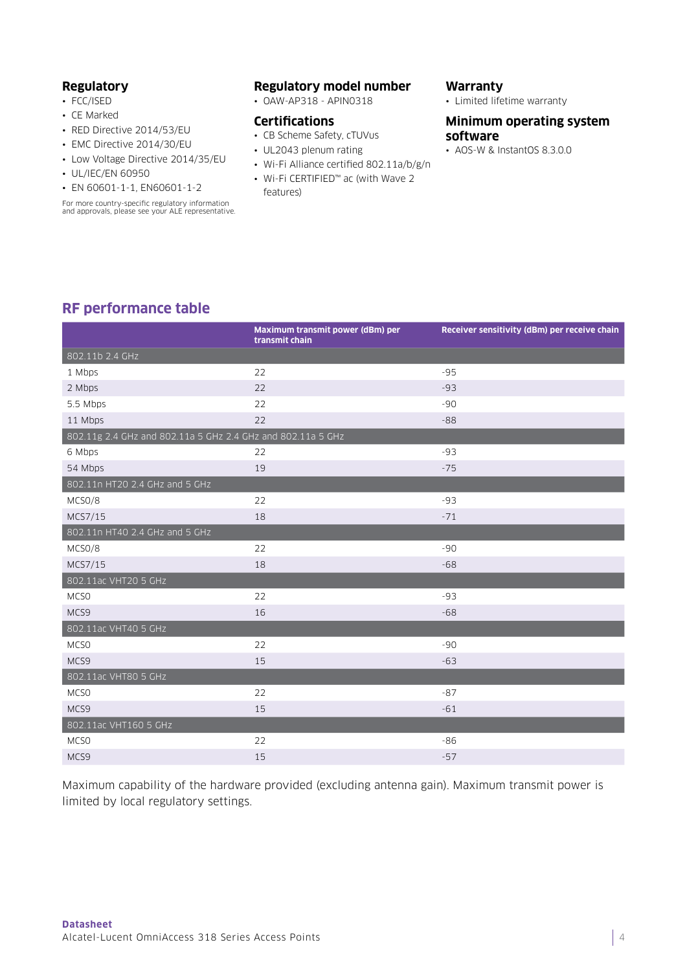#### **Regulatory**

- FCC/ISED
- CE Marked
- RED Directive 2014/53/EU
- EMC Directive 2014/30/EU
- Low Voltage Directive 2014/35/EU
- UL/IEC/EN 60950
- EN 60601-1-1, EN60601-1-2

For more country-specific regulatory information and approvals, please see your ALE representative.

#### **Regulatory model number**

• OAW-AP318 - APIN0318

#### **Certifications**

- CB Scheme Safety, cTUVus
- UL2043 plenum rating
- Wi-Fi Alliance certified 802.11a/b/g/n
- Wi-Fi CERTIFIED™ ac (with Wave 2 features)

#### **Warranty**

• Limited lifetime warranty

#### **Minimum operating system software**

• AOS-W & InstantOS 8.3.0.0

# **RF performance table**

|                                                             | Maximum transmit power (dBm) per<br>transmit chain | Receiver sensitivity (dBm) per receive chain |
|-------------------------------------------------------------|----------------------------------------------------|----------------------------------------------|
| 802.11b 2.4 GHz                                             |                                                    |                                              |
| 1 Mbps                                                      | 22                                                 | $-95$                                        |
| 2 Mbps                                                      | 22                                                 | $-93$                                        |
| 5.5 Mbps                                                    | 22                                                 | -90                                          |
| 11 Mbps                                                     | 22                                                 | $-88$                                        |
| 802.11g 2.4 GHz and 802.11a 5 GHz 2.4 GHz and 802.11a 5 GHz |                                                    |                                              |
| 6 Mbps                                                      | 22                                                 | $-93$                                        |
| 54 Mbps                                                     | 19                                                 | $-75$                                        |
| 802.11n HT20 2.4 GHz and 5 GHz                              |                                                    |                                              |
| MCSO/8                                                      | 22                                                 | -93                                          |
| MCS7/15                                                     | 18                                                 | $-71$                                        |
| 802.11n HT40 2.4 GHz and 5 GHz                              |                                                    |                                              |
| MCSO/8                                                      | 22                                                 | $-90$                                        |
| MCS7/15                                                     | 18                                                 | $-68$                                        |
| 802.11ac VHT20 5 GHz                                        |                                                    |                                              |
| MCS <sub>0</sub>                                            | 22                                                 | -93                                          |
| MCS9                                                        | 16                                                 | $-68$                                        |
| 802.11ac VHT40 5 GHz                                        |                                                    |                                              |
| MCS <sub>0</sub>                                            | 22                                                 | $-90$                                        |
| MCS9                                                        | 15                                                 | $-63$                                        |
| 802.11ac VHT80 5 GHz                                        |                                                    |                                              |
| MCS <sub>0</sub>                                            | 22                                                 | $-87$                                        |
| MCS9                                                        | 15                                                 | $-61$                                        |
| 802.11ac VHT160 5 GHz                                       |                                                    |                                              |
| MCS <sub>0</sub>                                            | 22                                                 | $-86$                                        |
| MCS9                                                        | 15                                                 | $-57$                                        |

Maximum capability of the hardware provided (excluding antenna gain). Maximum transmit power is limited by local regulatory settings.